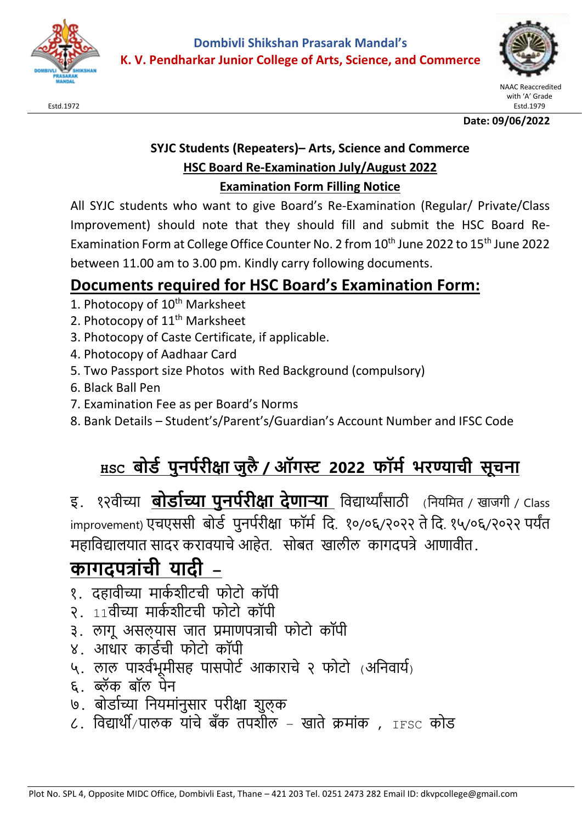



 **Date: 09/06/2022**

#### **SYJC Students (Repeaters)– Arts, Science and Commerce HSC Board Re-Examination July/August 2022 Examination Form Filling Notice**

All SYJC students who want to give Board's Re-Examination (Regular/ Private/Class Improvement) should note that they should fill and submit the HSC Board Re-Examination Form at College Office Counter No. 2 from 10<sup>th</sup> June 2022 to 15<sup>th</sup> June 2022 between 11.00 am to 3.00 pm. Kindly carry following documents.

#### **Documents required for HSC Board's Examination Form:**

- 1. Photocopy of  $10^{th}$  Marksheet
- 2. Photocopy of  $11<sup>th</sup>$  Marksheet
- 3. Photocopy of Caste Certificate, if applicable.
- 4. Photocopy of Aadhaar Card
- 5. Two Passport size Photos with Red Background (compulsory)
- 6. Black Ball Pen
- 7. Examination Fee as per Board's Norms
- 8. Bank Details Student's/Parent's/Guardian's Account Number and IFSC Code

# **HSC बोर्ड पुनपडरीक्षा जुलै/ ऑगस्ट 2022 फॉर्ड भरण्याची सूचना**

इ. १२वीच्या **बोर्ाडच्या पुनपडरीक्षा देणाऱ्या** ववद्यार्थ्ाांसाठी (वियवित / खाजगी / Class improvement) एचएससी बोर्ड पुनर्परीक्षा फॉर्म दि. १०/०६/२०२२ ते दि. १५/०६/२०२२ पर्यंत महाविद्यालयात सादर करावयाचे आहेत. सोबत खालील कागदपत्रे आणावीत.

## **कागदपत्ाांची यादी –**

- १. दहावीच्या मार्कशीटची फोटो कॉपी
- २. 11वीच्या मार्कशीटची फोटो कॉपी
- ३. लागू असल्यास जात प्रमाणपत्राची फोटो कॉपी
- ४. आधार कार्डची फोटो कॉपी
- ५. लाल पार्श्वभूमीसह पासपोर्ट आकाराचे २ फोटो (अनिवार्य)
- ६. ब्लॅक बॉल पेन
- ७. बोर्ाडच्या वियिाांिुसार परीक्षा शुल् क
- $\mathcal{L}$ . विद्यार्थी/पालक यांचे बँक तपर्शील खाते क्रमांक ,  $_{\rm IFSC}$  कोड